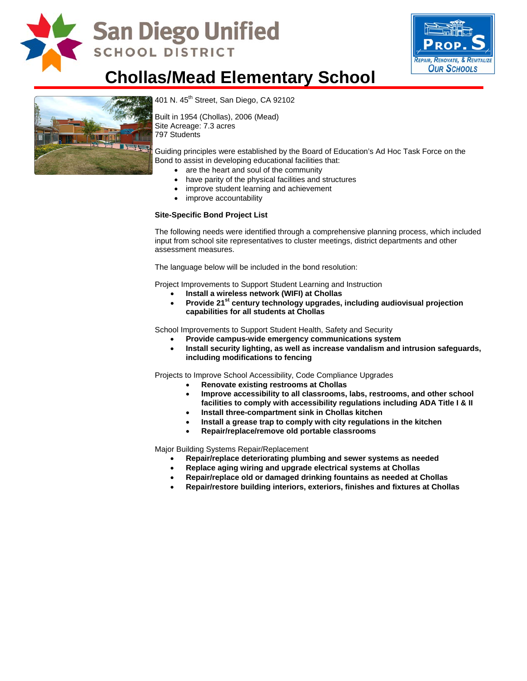

## **San Diego Unified SCHOOL DISTRICT**



## **Chollas/Mead Elementary School**



401 N. 45<sup>th</sup> Street, San Diego, CA 92102

Built in 1954 (Chollas), 2006 (Mead) Site Acreage: 7.3 acres 797 Students

Guiding principles were established by the Board of Education's Ad Hoc Task Force on the Bond to assist in developing educational facilities that:

- are the heart and soul of the community
- have parity of the physical facilities and structures
- improve student learning and achievement
- improve accountability

#### **Site-Specific Bond Project List**

The following needs were identified through a comprehensive planning process, which included input from school site representatives to cluster meetings, district departments and other assessment measures.

The language below will be included in the bond resolution:

Project Improvements to Support Student Learning and Instruction

- **Install a wireless network (WIFI) at Chollas**
- Provide 21<sup>st</sup> century technology upgrades, including audiovisual projection **capabilities for all students at Chollas**

School Improvements to Support Student Health, Safety and Security

- **Provide campus-wide emergency communications system**
- **Install security lighting, as well as increase vandalism and intrusion safeguards, including modifications to fencing**

Projects to Improve School Accessibility, Code Compliance Upgrades

- **Renovate existing restrooms at Chollas**
- **Improve accessibility to all classrooms, labs, restrooms, and other school facilities to comply with accessibility regulations including ADA Title I & II**
- **Install three-compartment sink in Chollas kitchen**
- **Install a grease trap to comply with city regulations in the kitchen**
- **Repair/replace/remove old portable classrooms**

Major Building Systems Repair/Replacement

- **Repair/replace deteriorating plumbing and sewer systems as needed**
- **Replace aging wiring and upgrade electrical systems at Chollas**
- **Repair/replace old or damaged drinking fountains as needed at Chollas**
- **Repair/restore building interiors, exteriors, finishes and fixtures at Chollas**